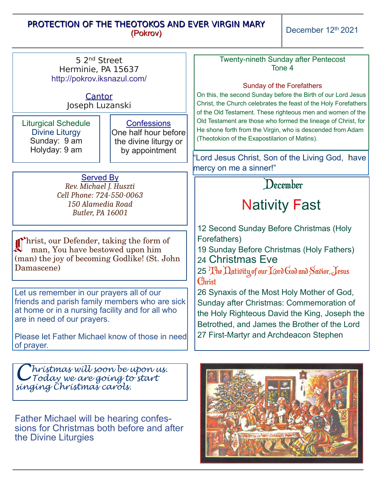## PROTECTION OF THE THEOTOKOS AND EVER VIRGIN MARY (Pokrov)

December 12th 2021

| 5 2 <sup>nd</sup> Street<br>Herminie, PA 15637<br>http://pokrov.iksnazul.com/<br>Cantor<br>Joseph Luzanski                                                                                                                        |                                                                                       | <b>Twenty-nineth Sunday after Pentecost</b><br>Tone 4<br><b>Sunday of the Forefathers</b><br>On this, the second Sunday before the Birth of our Lord Jesus<br>Christ, the Church celebrates the feast of the Holy Forefathers<br>of the Old Testament. These righteous men and women of the |
|-----------------------------------------------------------------------------------------------------------------------------------------------------------------------------------------------------------------------------------|---------------------------------------------------------------------------------------|---------------------------------------------------------------------------------------------------------------------------------------------------------------------------------------------------------------------------------------------------------------------------------------------|
| <b>Liturgical Schedule</b><br><b>Divine Liturgy</b><br>Sunday: 9 am<br>Holyday: 9 am                                                                                                                                              | <b>Confessions</b><br>One half hour before<br>the divine liturgy or<br>by appointment | Old Testament are those who formed the lineage of Christ, for<br>He shone forth from the Virgin, who is descended from Adam<br>(Theotokion of the Exapostilarion of Matins).                                                                                                                |
|                                                                                                                                                                                                                                   |                                                                                       | 'Lord Jesus Christ, Son of the Living God, have<br>mercy on me a sinner!"                                                                                                                                                                                                                   |
| <b>Served By</b><br>Rev. Michael J. Huszti<br>Cell Phone: 724-550-0063<br>150 Alamedia Road<br><b>Butler, PA 16001</b>                                                                                                            |                                                                                       | December                                                                                                                                                                                                                                                                                    |
|                                                                                                                                                                                                                                   |                                                                                       | <b>Nativity Fast</b>                                                                                                                                                                                                                                                                        |
| Thrist, our Defender, taking the form of<br>man, You have bestowed upon him<br>(man) the joy of becoming Godlike! (St. John<br>Damascene)                                                                                         |                                                                                       | 12 Second Sunday Before Christmas (Holy<br>Forefathers)<br>19 Sunday Before Christmas (Holy Fathers)<br>24 Christmas Eve<br>25 The Dativity of our Lord God and Savior, Jesus<br>Christ                                                                                                     |
| Let us remember in our prayers all of our<br>friends and parish family members who are sick<br>at home or in a nursing facility and for all who<br>are in need of our prayers.<br>Please let Father Michael know of those in need |                                                                                       | 26 Synaxis of the Most Holy Mother of God,<br>Sunday after Christmas: Commemoration of<br>the Holy Righteous David the King, Joseph the<br>Betrothed, and James the Brother of the Lord<br>27 First-Martyr and Archdeacon Stephen                                                           |
| of prayer.                                                                                                                                                                                                                        |                                                                                       |                                                                                                                                                                                                                                                                                             |
| "hrístmas wíll soon be upon us.<br>Today we are going to start<br>singing Christmas carols.                                                                                                                                       |                                                                                       |                                                                                                                                                                                                                                                                                             |
| <b>Father Michael will be hearing confes-</b><br>sions for Christmas hoth hafore and after                                                                                                                                        |                                                                                       |                                                                                                                                                                                                                                                                                             |

sions for Christmas both before and after the Divine Liturgies